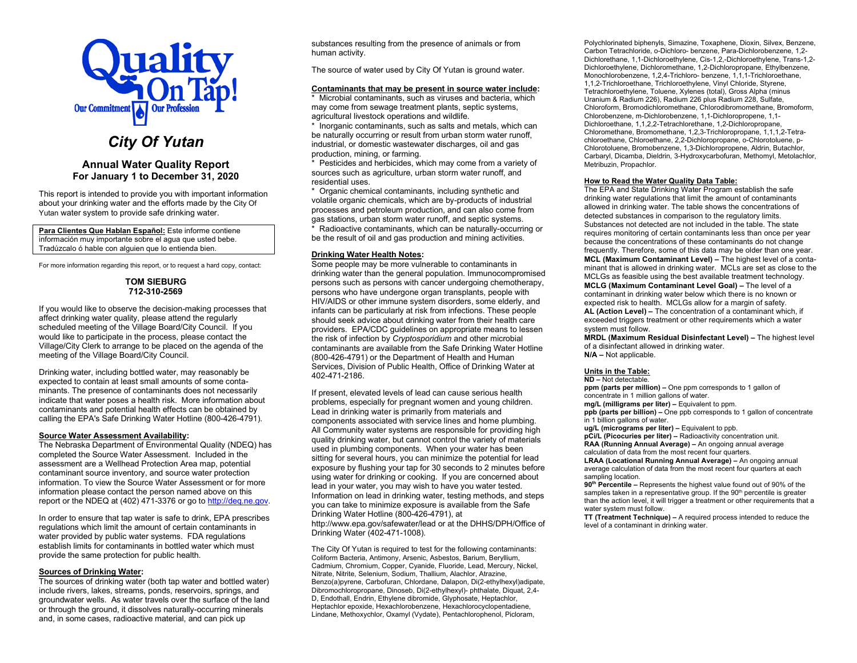

# *City Of Yutan*

# **Annual Water Quality Report For January 1 to December 31, 2020**

This report is intended to provide you with important information about your drinking water and the efforts made by the City Of Yutan water system to provide safe drinking water.

**Para Clientes Que Hablan Español:** Este informe contiene información muy importante sobre el agua que usted bebe. Tradúzcalo ó hable con alguien que lo entienda bien.

For more information regarding this report, or to request a hard copy, contact:

#### **TOM SIEBURG 712-310-2569**

If you would like to observe the decision-making processes that affect drinking water quality, please attend the regularly scheduled meeting of the Village Board/City Council. If you would like to participate in the process, please contact the Village/City Clerk to arrange to be placed on the agenda of the meeting of the Village Board/City Council.

Drinking water, including bottled water, may reasonably be expected to contain at least small amounts of some contaminants. The presence of contaminants does not necessarily indicate that water poses a health risk. More information about contaminants and potential health effects can be obtained by calling the EPA's Safe Drinking Water Hotline (800-426-4791).

#### **Source Water Assessment Availability:**

The Nebraska Department of Environmental Quality (NDEQ) has completed the Source Water Assessment. Included in the assessment are a Wellhead Protection Area map, potential contaminant source inventory, and source water protection information. To view the Source Water Assessment or for more information please contact the person named above on this report or the NDEQ at (402) 471-3376 or go to [http://deq.ne.gov.](http://www.deq.state.ne.us/)

In order to ensure that tap water is safe to drink, EPA prescribes regulations which limit the amount of certain contaminants in water provided by public water systems. FDA regulations establish limits for contaminants in bottled water which must provide the same protection for public health.

#### **Sources of Drinking Water:**

The sources of drinking water (both tap water and bottled water) include rivers, lakes, streams, ponds, reservoirs, springs, and groundwater wells. As water travels over the surface of the land or through the ground, it dissolves naturally-occurring minerals and, in some cases, radioactive material, and can pick up

substances resulting from the presence of animals or from human activity.

The source of water used by City Of Yutan is ground water.

#### **Contaminants that may be present in source water include:**

\* Microbial contaminants, such as viruses and bacteria, which may come from sewage treatment plants, septic systems, agricultural livestock operations and wildlife.

\* Inorganic contaminants, such as salts and metals, which can be naturally occurring or result from urban storm water runoff, industrial, or domestic wastewater discharges, oil and gas production, mining, or farming.

\* Pesticides and herbicides, which may come from a variety of sources such as agriculture, urban storm water runoff, and residential uses.

\* Organic chemical contaminants, including synthetic and volatile organic chemicals, which are by-products of industrial processes and petroleum production, and can also come from gas stations, urban storm water runoff, and septic systems. Radioactive contaminants, which can be naturally-occurring or

be the result of oil and gas production and mining activities.

## **Drinking Water Health Notes:**

Some people may be more vulnerable to contaminants in drinking water than the general population. Immunocompromised persons such as persons with cancer undergoing chemotherapy, persons who have undergone organ transplants, people with HIV/AIDS or other immune system disorders, some elderly, and infants can be particularly at risk from infections. These people should seek advice about drinking water from their health care providers. EPA/CDC guidelines on appropriate means to lessen the risk of infection by *Cryptosporidium* and other microbial contaminants are available from the Safe Drinking Water Hotline (800-426-4791) or the Department of Health and Human Services, Division of Public Health, Office of Drinking Water at 402-471-2186.

If present, elevated levels of lead can cause serious health problems, especially for pregnant women and young children. Lead in drinking water is primarily from materials and components associated with service lines and home plumbing. All Community water systems are responsible for providing high quality drinking water, but cannot control the variety of materials used in plumbing components. When your water has been sitting for several hours, you can minimize the potential for lead exposure by flushing your tap for 30 seconds to 2 minutes before using water for drinking or cooking. If you are concerned about lead in your water, you may wish to have you water tested. Information on lead in drinking water, testing methods, and steps you can take to minimize exposure is available from the Safe Drinking Water Hotline (800-426-4791), at http://www.epa.gov/safewater/lead or at the DHHS/DPH/Office of Drinking Water (402-471-1008).

The City Of Yutan is required to test for the following contaminants: Coliform Bacteria, Antimony, Arsenic, Asbestos, Barium, Beryllium, Cadmium, Chromium, Copper, Cyanide, Fluoride, Lead, Mercury, Nickel, Nitrate, Nitrite, Selenium, Sodium, Thallium, Alachlor, Atrazine, Benzo(a)pyrene, Carbofuran, Chlordane, Dalapon, Di(2-ethylhexyl)adipate, Dibromochloropropane, Dinoseb, Di(2-ethylhexyl)- phthalate, Diquat, 2,4- D, Endothall, Endrin, Ethylene dibromide, Glyphosate, Heptachlor, Heptachlor epoxide, Hexachlorobenzene, Hexachlorocyclopentadiene, Lindane, Methoxychlor, Oxamyl (Vydate), Pentachlorophenol, Picloram,

Polychlorinated biphenyls, Simazine, Toxaphene, Dioxin, Silvex, Benzene, Carbon Tetrachloride, o-Dichloro- benzene, Para-Dichlorobenzene, 1,2- Dichlorethane, 1,1-Dichloroethylene, Cis-1,2,-Dichloroethylene, Trans-1,2- Dichloroethylene, Dichloromethane, 1,2-Dichloropropane, Ethylbenzene, Monochlorobenzene, 1,2,4-Trichloro- benzene, 1,1,1-Trichloroethane, 1,1,2-Trichloroethane, Trichloroethylene, Vinyl Chloride, Styrene, Tetrachloroethylene, Toluene, Xylenes (total), Gross Alpha (minus Uranium & Radium 226), Radium 226 plus Radium 228, Sulfate, Chloroform, Bromodichloromethane, Chlorodibromomethane, Bromoform, Chlorobenzene, m-Dichlorobenzene, 1,1-Dichloropropene, 1,1- Dichloroethane, 1,1,2,2-Tetrachlorethane, 1,2-Dichloropropane, Chloromethane, Bromomethane, 1,2,3-Trichloropropane, 1,1,1,2-Tetrachloroethane, Chloroethane, 2,2-Dichloropropane, o-Chlorotoluene, p-Chlorotoluene, Bromobenzene, 1,3-Dichloropropene, Aldrin, Butachlor, Carbaryl, Dicamba, Dieldrin, 3-Hydroxycarbofuran, Methomyl, Metolachlor, Metribuzin, Propachlor.

#### **How to Read the Water Quality Data Table:**

The EPA and State Drinking Water Program establish the safe drinking water regulations that limit the amount of contaminants allowed in drinking water. The table shows the concentrations of detected substances in comparison to the regulatory limits. Substances not detected are not included in the table. The state requires monitoring of certain contaminants less than once per year because the concentrations of these contaminants do not change frequently. Therefore, some of this data may be older than one year. **MCL (Maximum Contaminant Level) –** The highest level of a contaminant that is allowed in drinking water. MCLs are set as close to the MCLGs as feasible using the best available treatment technology. **MCLG (Maximum Contaminant Level Goal) –** The level of a contaminant in drinking water below which there is no known or expected risk to health. MCLGs allow for a margin of safety. **AL (Action Level) –** The concentration of a contaminant which, if exceeded triggers treatment or other requirements which a water system must follow.

**MRDL (Maximum Residual Disinfectant Level) –** The highest level of a disinfectant allowed in drinking water. **N/A –** Not applicable.

## **Units in the Table:**

**ND –** Not detectable.

**ppm (parts per million) –** One ppm corresponds to 1 gallon of concentrate in 1 million gallons of water.

**mg/L (milligrams per liter) –** Equivalent to ppm.

**ppb (parts per billion) –** One ppb corresponds to 1 gallon of concentrate in 1 billion gallons of water.

**ug/L (micrograms per liter) –** Equivalent to ppb.

**pCi/L (Picocuries per liter) –** Radioactivity concentration unit. **RAA (Running Annual Average) –** An ongoing annual average calculation of data from the most recent four quarters.

**LRAA (Locational Running Annual Average) –** An ongoing annual average calculation of data from the most recent four quarters at each sampling location.

**90th Percentile –** Represents the highest value found out of 90% of the samples taken in a representative group. If the 90<sup>th</sup> percentile is greater than the action level, it will trigger a treatment or other requirements that a water system must follow.

**TT (Treatment Technique) –** A required process intended to reduce the level of a contaminant in drinking water.